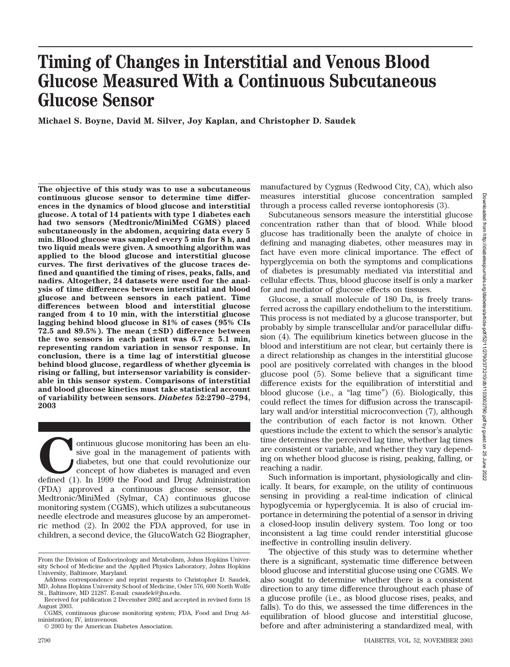# Downloaded from http://diabetesjournals.org/diabetes/article-pdf/52/11/2790/373210/db1103002790.pdf by guest on Downloaded from http://diabetesjournals.org/diabetes/article-pdf/52/11/2790/373210/db1103002790.pdf by guest on 25 June 2022

 $\overline{55}$ June 2022

# **Timing of Changes in Interstitial and Venous Blood Glucose Measured With a Continuous Subcutaneous Glucose Sensor**

**Michael S. Boyne, David M. Silver, Joy Kaplan, and Christopher D. Saudek**

**The objective of this study was to use a subcutaneous continuous glucose sensor to determine time differences in the dynamics of blood glucose and interstitial glucose. A total of 14 patients with type 1 diabetes each had two sensors (Medtronic/MiniMed CGMS) placed subcutaneously in the abdomen, acquiring data every 5 min. Blood glucose was sampled every 5 min for 8 h, and two liquid meals were given. A smoothing algorithm was applied to the blood glucose and interstitial glucose curves. The first derivatives of the glucose traces defined and quantified the timing of rises, peaks, falls, and nadirs. Altogether, 24 datasets were used for the analysis of time differences between interstitial and blood glucose and between sensors in each patient. Time differences between blood and interstitial glucose ranged from 4 to 10 min, with the interstitial glucose lagging behind blood glucose in 81% of cases (95% CIs** 72.5 and  $89.5\%$ ). The mean  $(\pm SD)$  difference between the two sensors in each patient was  $6.7 \pm 5.1$  min, **representing random variation in sensor response. In conclusion, there is a time lag of interstitial glucose behind blood glucose, regardless of whether glycemia is rising or falling, but intersensor variability is considerable in this sensor system. Comparisons of interstitial and blood glucose kinetics must take statistical account of variability between sensors.** *Diabetes* **52:2790–2794, 2003**

ontinuous glucose monitoring has been an elusive goal in the management of patients with diabetes, but one that could revolutionize our defined (1). In 1999 the Food and Drug Administration sive goal in the management of patients with diabetes, but one that could revolutionize our concept of how diabetes is managed and even (FDA) approved a continuous glucose sensor, the Medtronic/MiniMed (Sylmar, CA) continuous glucose monitoring system (CGMS), which utilizes a subcutaneous needle electrode and measures glucose by an amperometric method (2). In 2002 the FDA approved, for use in children, a second device, the GlucoWatch G2 Biographer,

manufactured by Cygnus (Redwood City, CA), which also measures interstitial glucose concentration sampled through a process called reverse iontophoresis (3).

Subcutaneous sensors measure the interstitial glucose concentration rather than that of blood. While blood glucose has traditionally been the analyte of choice in defining and managing diabetes, other measures may in fact have even more clinical importance. The effect of hyperglycemia on both the symptoms and complications of diabetes is presumably mediated via interstitial and cellular effects. Thus, blood glucose itself is only a marker for and mediator of glucose effects on tissues.

Glucose, a small molecule of 180 Da, is freely transferred across the capillary endothelium to the interstitium. This process is not mediated by a glucose transporter, but probably by simple transcellular and/or paracellular diffusion (4). The equilibrium kinetics between glucose in the blood and interstitium are not clear, but certainly there is a direct relationship as changes in the interstitial glucose pool are positively correlated with changes in the blood glucose pool (5). Some believe that a significant time difference exists for the equilibration of interstitial and blood glucose (i.e., a "lag time") (6). Biologically, this could reflect the times for diffusion across the transcapillary wall and/or interstitial microconvection (7), although the contribution of each factor is not known. Other questions include the extent to which the sensor's analytic time determines the perceived lag time, whether lag times are consistent or variable, and whether they vary depending on whether blood glucose is rising, peaking, falling, or reaching a nadir.

Such information is important, physiologically and clinically. It bears, for example, on the utility of continuous sensing in providing a real-time indication of clinical hypoglycemia or hyperglycemia. It is also of crucial importance in determining the potential of a sensor in driving a closed-loop insulin delivery system. Too long or too inconsistent a lag time could render interstitial glucose ineffective in controlling insulin delivery.

The objective of this study was to determine whether there is a significant, systematic time difference between blood glucose and interstitial glucose using one CGMS. We also sought to determine whether there is a consistent direction to any time difference throughout each phase of a glucose profile (i.e., as blood glucose rises, peaks, and falls). To do this, we assessed the time differences in the equilibration of blood glucose and interstitial glucose, before and after administering a standardized meal, with

From the Division of Endocrinology and Metabolism, Johns Hopkins University School of Medicine and the Applied Physics Laboratory, Johns Hopkins University, Baltimore, Maryland.

Address correspondence and reprint requests to Christopher D. Saudek, MD, Johns Hopkins University School of Medicine, Osler 576, 600 North Wolfe St., Baltimore, MD 21287. E-mail: csaudek@jhu.edu.

Received for publication 2 December 2002 and accepted in revised form 18 August 2003.

CGMS, continuous glucose monitoring system; FDA, Food and Drug Administration; IV, intravenous.

<sup>© 2003</sup> by the American Diabetes Association.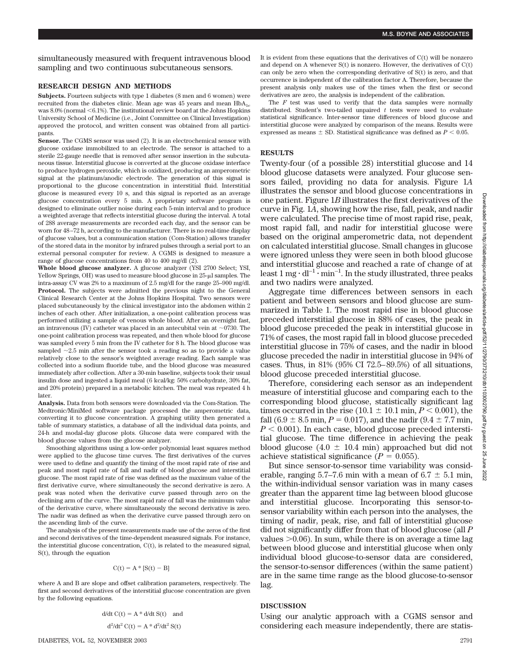**M.S. BOYNE AND ASSOCIATES**

simultaneously measured with frequent intravenous blood sampling and two continuous subcutaneous sensors.

### **RESEARCH DESIGN AND METHODS**

Subjects. Fourteen subjects with type 1 diabetes (8 men and 6 women) were recruited from the diabetes clinic. Mean age was 45 years and mean  $HbA_{1c}$ was  $8.0\%$  (normal  $\leq 6.1\%$ ). The institutional review board at the Johns Hopkins University School of Medicine (i.e., Joint Committee on Clinical Investigation) approved the protocol, and written consent was obtained from all participants.

**Sensor.** The CGMS sensor was used (2). It is an electrochemical sensor with glucose oxidase immobilized to an electrode. The sensor is attached to a sterile 22-gauge needle that is removed after sensor insertion in the subcutaneous tissue. Interstitial glucose is converted at the glucose oxidase interface to produce hydrogen peroxide, which is oxidized, producing an amperometric signal at the platinum/anodic electrode. The generation of this signal is proportional to the glucose concentration in interstitial fluid. Interstitial glucose is measured every 10 s, and this signal is reported as an average glucose concentration every 5 min. A proprietary software program is designed to eliminate outlier noise during each 5-min interval and to produce a weighted average that reflects interstitial glucose during the interval. A total of 288 average measurements are recorded each day, and the sensor can be worn for 48–72 h, according to the manufacturer. There is no real-time display of glucose values, but a communication station (Com-Station) allows transfer of the stored data in the monitor by infrared pulses through a serial port to an external personal computer for review. A CGMS is designed to measure a range of glucose concentrations from 40 to 400 mg/dl (2).

**Whole blood glucose analyzer.** A glucose analyzer (YSI 2700 Select; YSI, Yellow Springs, OH) was used to measure blood glucose in 25-µl samples. The intra-assay CV was 2% to a maximum of 2.5 mg/dl for the range 25–900 mg/dl. **Protocol.** The subjects were admitted the previous night to the General Clinical Research Center at the Johns Hopkins Hospital. Two sensors were placed subcutaneously by the clinical investigator into the abdomen within 2 inches of each other. After initialization, a one-point calibration process was performed utilizing a sample of venous whole blood. After an overnight fast, an intravenous (IV) catheter was placed in an antecubital vein at  $\sim$ 0730. The one-point calibration process was repeated, and then whole blood for glucose was sampled every 5 min from the IV catheter for 8 h. The blood glucose was sampled  $\sim$  2.5 min after the sensor took a reading so as to provide a value relatively close to the sensor's weighted average reading. Each sample was collected into a sodium fluoride tube, and the blood glucose was measured immediately after collection. After a 30-min baseline, subjects took their usual insulin dose and ingested a liquid meal (6 kcal/kg: 50% carbohydrate, 30% fat, and 20% protein) prepared in a metabolic kitchen. The meal was repeated 4 h later.

**Analysis.** Data from both sensors were downloaded via the Com-Station. The Medtronic/MiniMed software package processed the amperometric data, converting it to glucose concentration. A graphing utility then generated a table of summary statistics, a database of all the individual data points, and 24-h and modal-day glucose plots. Glucose data were compared with the blood glucose values from the glucose analyzer.

Smoothing algorithms using a low-order polynomial least squares method were applied to the glucose time curves. The first derivatives of the curves were used to define and quantify the timing of the most rapid rate of rise and peak and most rapid rate of fall and nadir of blood glucose and interstitial glucose. The most rapid rate of rise was defined as the maximum value of the first derivative curve, where simultaneously the second derivative is zero. A peak was noted when the derivative curve passed through zero on the declining arm of the curve. The most rapid rate of fall was the minimum value of the derivative curve, where simultaneously the second derivative is zero. The nadir was defined as when the derivative curve passed through zero on the ascending limb of the curve.

The analysis of the present measurements made use of the zeros of the first and second derivatives of the time-dependent measured signals. For instance, the interstitial glucose concentration, C(t), is related to the measured signal, S(t), through the equation

$$
C(t) = A * [S(t) - B]
$$

where A and B are slope and offset calibration parameters, respectively. The first and second derivatives of the interstitial glucose concentration are given by the following equations.

$$
d/dt C(t) = A * d/dt S(t) \text{ and}
$$

$$
d2/dt2 C(t) = A * d2/dt2 S(t)
$$

It is evident from these equations that the derivatives of  $C(t)$  will be nonzero and depend on A whenever S(t) is nonzero. However, the derivatives of C(t) can only be zero when the corresponding derivative of S(t) is zero, and that occurrence is independent of the calibration factor A. Therefore, because the present analysis only makes use of the times when the first or second derivatives are zero, the analysis is independent of the calibration.

The *F* test was used to verify that the data samples were normally distributed. Student's two-tailed unpaired *t* tests were used to evaluate statistical significance. Inter-sensor time differences of blood glucose and interstitial glucose were analyzed by comparison of the means. Results were expressed as means  $\pm$  SD. Statistical significance was defined as  $P \le 0.05$ .

### **RESULTS**

Twenty-four (of a possible 28) interstitial glucose and 14 blood glucose datasets were analyzed. Four glucose sensors failed, providing no data for analysis. Figure 1*A* illustrates the sensor and blood glucose concentrations in one patient. Figure 1*B* illustrates the first derivatives of the curve in Fig. 1*A*, showing how the rise, fall, peak, and nadir were calculated. The precise time of most rapid rise, peak, most rapid fall, and nadir for interstitial glucose were based on the original amperometric data, not dependent on calculated interstitial glucose. Small changes in glucose were ignored unless they were seen in both blood glucose and interstitial glucose and reached a rate of change of at least 1 mg  $\cdot$  dl<sup>-1</sup>  $\cdot$  min<sup>-1</sup>. In the study illustrated, three peaks and two nadirs were analyzed.

Aggregate time differences between sensors in each patient and between sensors and blood glucose are summarized in Table 1. The most rapid rise in blood glucose preceded interstitial glucose in 88% of cases, the peak in blood glucose preceded the peak in interstitial glucose in 71% of cases, the most rapid fall in blood glucose preceded interstitial glucose in 75% of cases, and the nadir in blood glucose preceded the nadir in interstitial glucose in 94% of cases. Thus, in 81% (95% CI 72.5–89.5%) of all situations, blood glucose preceded interstitial glucose.

Therefore, considering each sensor as an independent measure of interstitial glucose and comparing each to the corresponding blood glucose, statistically significant lag times occurred in the rise (10.1  $\pm$  10.1 min,  $P \leq 0.001$ ), the fall  $(6.9 \pm 8.5 \text{ min}, P = 0.017)$ , and the nadir  $(9.4 \pm 7.7 \text{ min},$  $P < 0.001$ ). In each case, blood glucose preceded interstitial glucose. The time difference in achieving the peak blood glucose  $(4.0 \pm 10.4 \text{ min})$  approached but did not achieve statistical significance  $(P = 0.055)$ .

But since sensor-to-sensor time variability was considerable, ranging 5.7–7.6 min with a mean of  $6.7 \pm 5.1$  min, the within-individual sensor variation was in many cases greater than the apparent time lag between blood glucose and interstitial glucose. Incorporating this sensor-tosensor variability within each person into the analyses, the timing of nadir, peak, rise, and fall of interstitial glucose did not significantly differ from that of blood glucose (all *P* values  $>0.06$ ). In sum, while there is on average a time lag between blood glucose and interstitial glucose when only individual blood glucose-to-sensor data are considered, the sensor-to-sensor differences (within the same patient) are in the same time range as the blood glucose-to-sensor lag.

## **DISCUSSION**

Using our analytic approach with a CGMS sensor and considering each measure independently, there are statis-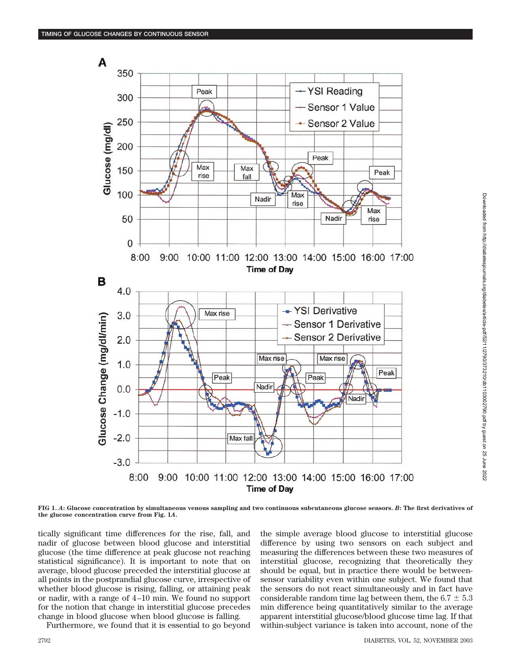

**FIG 1.** *A***: Glucose concentration by simultaneous venous sampling and two continuous subcutaneous glucose sensors.** *B***: The first derivatives of the glucose concentration curve from Fig. 1***A***.**

tically significant time differences for the rise, fall, and nadir of glucose between blood glucose and interstitial glucose (the time difference at peak glucose not reaching statistical significance). It is important to note that on average, blood glucose preceded the interstitial glucose at all points in the postprandial glucose curve, irrespective of whether blood glucose is rising, falling, or attaining peak or nadir, with a range of 4–10 min. We found no support for the notion that change in interstitial glucose precedes change in blood glucose when blood glucose is falling.

Furthermore, we found that it is essential to go beyond

the simple average blood glucose to interstitial glucose difference by using two sensors on each subject and measuring the differences between these two measures of interstitial glucose, recognizing that theoretically they should be equal, but in practice there would be betweensensor variability even within one subject. We found that the sensors do not react simultaneously and in fact have considerable random time lag between them, the  $6.7 \pm 5.3$ min difference being quantitatively similar to the average apparent interstitial glucose/blood glucose time lag. If that within-subject variance is taken into account, none of the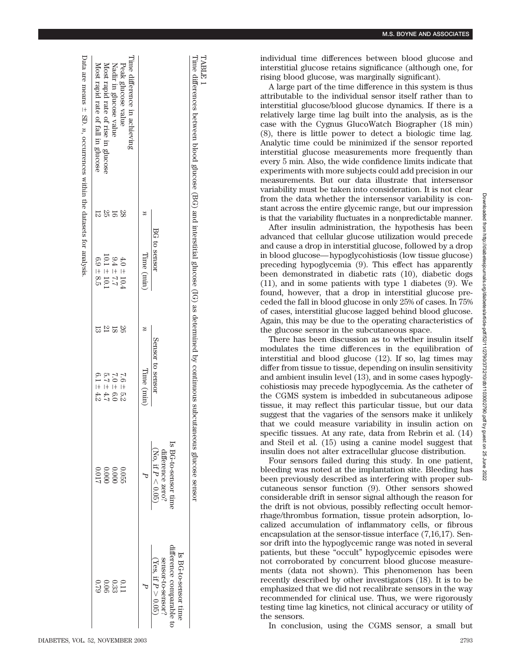TABLE $\overline{\phantom{0}}$ 

**M.S. BOYNE AND ASSOCIATES**

individual time differences between blood glucose and interstitial glucose retains significance (although one, for rising blood glucose, was marginally significant).

A large part of the time difference in this system is thus attributable to the individual sensor itself rather than to interstitial glucose/blood glucose dynamics. If there is a relatively large time lag built into the analysis, as is the case with the Cygnus GlucoWatch Biographer (18 min) (8), there is little power to detect a biologic time lag. Analytic time could be minimized if the sensor reported interstitial glucose measurements more frequently than every 5 min. Also, the wide confidence limits indicate that experiments with more subjects could add precision in our measurements. But our data illustrate that intersensor variability must be taken into consideration. It is not clear from the data whether the intersensor variability is constant across the entire glycemic range, but our impression is that the variability fluctuates in a nonpredictable manner.

After insulin administration, the hypothesis has been advanced that cellular glucose utilization would precede and cause a drop in interstitial glucose, followed by a drop in blood glucose—hypoglycohistiosis (low tissue glucose) preceding hypoglycemia (9). This effect has apparently been demonstrated in diabetic rats (10), diabetic dogs (11), and in some patients with type 1 diabetes (9). We found, however, that a drop in interstitial glucose preceded the fall in blood glucose in only 25% of cases. In 75% of cases, interstitial glucose lagged behind blood glucose. Again, this may be due to the operating characteristics of the glucose sensor in the subcutaneous space.

There has been discussion as to whether insulin itself modulates the time differences in the equilibration of interstitial and blood glucose (12). If so, lag times may differ from tissue to tissue, depending on insulin sensitivity and ambient insulin level (13), and in some cases hypoglycohistiosis may precede hypoglycemia. As the catheter of the CGMS system is imbedded in subcutaneous adipose tissue, it may reflect this particular tissue, but our data suggest that the vagaries of the sensors make it unlikely that we could measure variability in insulin action on specific tissues. At any rate, data from Rebrin et al. (14) and Steil et al. (15) using a canine model suggest that insulin does not alter extracellular glucose distribution.

Four sensors failed during this study. In one patient, bleeding was noted at the implantation site. Bleeding has been previously described as interfering with proper subcutaneous sensor function (9). Other sensors showed considerable drift in sensor signal although the reason for the drift is not obvious, possibly reflecting occult hemorrhage/thrombus formation, tissue protein adsorption, localized accumulation of inflammatory cells, or fibrous encapsulation at the sensor-tissue interface (7,16,17). Sensor drift into the hypoglycemic range was noted in several patients, but these "occult" hypoglycemic episodes were not corroborated by concurrent blood glucose measurements (data not shown). This phenomenon has been recently described by other investigators (18). It is to be emphasized that we did not recalibrate sensors in the way recommended for clinical use. Thus, we were rigorously testing time lag kinetics, not clinical accuracy or utility of the sensors.

In conclusion, using the CGMS sensor, a small but